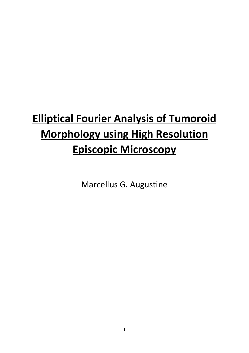# **Elliptical Fourier Analysis of Tumoroid Morphology using High Resolution Episcopic Microscopy**

Marcellus G. Augustine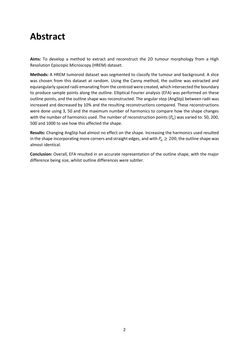## **Abstract**

**Aims:** To develop a method to extract and reconstruct the 2D tumour morphology from a High Resolution Episcopic Microscopy (HREM) dataset.

**Methods:** A HREM tumoroid dataset was segmented to classify the tumour and background. A slice was chosen from this dataset at random. Using the Canny method, the outline was extracted and equiangularly spaced radii emanating from the centroid were created, which intersected the boundary to produce sample points along the outline. Elliptical Fourier analysis (EFA) was performed on these outline points, and the outline shape was reconstructed. The angular step (AngStp) between radii was increased and decreased by 10% and the resulting reconstructions compared. These reconstructions were done using 3, 50 and the maximum number of harmonics to compare how the shape changes with the number of harmonics used. The number of reconstruction points  $(P_n)$  was varied to: 50, 200, 500 and 1000 to see how this affected the shape.

**Results:** Changing AngStp had almost no effect on the shape. Increasing the harmonics used resulted in the shape incorporating more corners and straight edges, and with  $P_n \geq 200$ , the outline shape was almost identical.

**Conclusion:** Overall, EFA resulted in an accurate representation of the outline shape, with the major difference being size, whilst outline differences were subtler.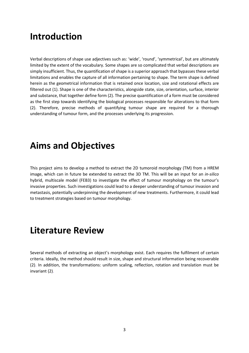## **Introduction**

Verbal descriptions of shape use adjectives such as: 'wide', 'round', 'symmetrical', but are ultimately limited by the extent of the vocabulary. Some shapes are so complicated that verbal descriptions are simply insufficient. Thus, the quantification of shape is a superior approach that bypasses these verbal limitations and enables the capture of all information pertaining to shape. The term shape is defined herein as the geometrical information that is retained once location, size and rotational effects are filtered out (1). Shape is one of the characteristics, alongside state, size, orientation, surface, interior and substance, that together define form (2). The precise quantification of a form must be considered as the first step towards identifying the biological processes responsible for alterations to that form (2). Therefore, precise methods of quantifying tumour shape are required for a thorough understanding of tumour form, and the processes underlying its progression.

## **Aims and Objectives**

This project aims to develop a method to extract the 2D tumoroid morphology (TM) from a HREM image, which can in future be extended to extract the 3D TM. This will be an input for an *in-silico* hybrid, multiscale model (FEB3) to investigate the effect of tumour morphology on the tumour's invasive properties. Such investigations could lead to a deeper understanding of tumour invasion and metastasis, potentially underpinning the development of new treatments. Furthermore, it could lead to treatment strategies based on tumour morphology.

## **Literature Review**

Several methods of extracting an object's morphology exist. Each requires the fulfilment of certain criteria. Ideally, the method should result in size, shape and structural information being recoverable (2). In addition, the transformations: uniform scaling, reflection, rotation and translation must be invariant (2).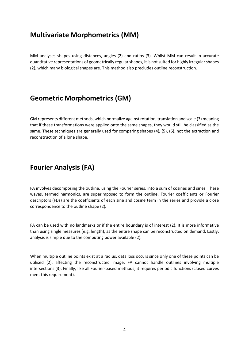### **Multivariate Morphometrics (MM)**

MM analyses shapes using distances, angles (2) and ratios (3). Whilst MM can result in accurate quantitative representations of geometrically regular shapes, it is not suited for highly irregular shapes (2), which many biological shapes are. This method also precludes outline reconstruction.

### **Geometric Morphometrics (GM)**

GM represents different methods, which normalize against rotation, translation and scale (3) meaning that if these transformations were applied onto the same shapes, they would still be classified as the same. These techniques are generally used for comparing shapes (4)*,* (5), (6), not the extraction and reconstruction of a lone shape.

### **Fourier Analysis (FA)**

FA involves decomposing the outline, using the Fourier series, into a sum of cosines and sines. These waves, termed harmonics, are superimposed to form the outline. Fourier coefficients or Fourier descriptors (FDs) are the coefficients of each sine and cosine term in the series and provide a close correspondence to the outline shape (2)*.*

FA can be used with no landmarks or if the entire boundary is of interest (2). It is more informative than using single measures (e.g. length), as the entire shape can be reconstructed on demand. Lastly, analysis is simple due to the computing power available (2).

When multiple outline points exist at a radius, data loss occurs since only one of these points can be utilised (2), affecting the reconstructed image. FA cannot handle outlines involving multiple intersections (3). Finally, like all Fourier-based methods, it requires periodic functions (closed curves meet this requirement).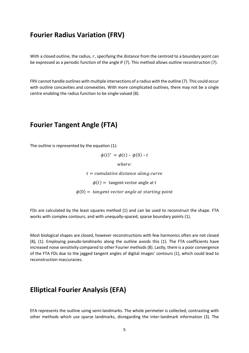#### **Fourier Radius Variation (FRV)**

With a closed outline, the radius,  $r$ , specifying the distance from the centroid to a boundary point can be expressed as a periodic function of the angle  $\theta$  (7). This method allows outline reconstruction (7).

FRV cannot handle outlines with multiple intersections of a radius with the outline (7). This could occur with outline concavities and convexities. With more complicated outlines, there may not be a single centre enabling the radius function to be single-valued (8).

#### **Fourier Tangent Angle (FTA)**

The outline is represented by the equation (1):

 $\phi(t)^* = \phi(t) - \phi(0) - t$ 

where:

 $t =$  cumulative distance along curve

 $\phi(t)$  = tangent vector angle at t

 $\phi(0)$  = tangent vector angle at starting point

FDs are calculated by the least squares method (1) and can be used to reconstruct the shape. FTA works with complex contours, and with unequally-spaced, sparse boundary points (1).

Most biological shapes are closed, however reconstructions with few harmonics often are not closed (8)*,* (1)*.* Employing pseudo-landmarks along the outline avoids this (1). The FTA coefficients have increased noise sensitivity compared to other Fourier methods (8). Lastly, there is a poor convergence of the FTA FDs due to the jagged tangent angles of digital images' contours (1), which could lead to reconstruction inaccuracies.

#### **Elliptical Fourier Analysis (EFA)**

EFA represents the outline using semi-landmarks. The whole perimeter is collected, contrasting with other methods which use sparse landmarks, disregarding the inter-landmark information (3). The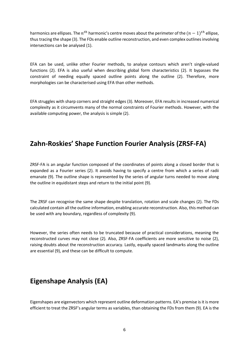harmonics are ellipses. The  $n^{th}$  harmonic's centre moves about the perimeter of the  $(n-1)^{th}$  ellipse, thus tracing the shape (3). The FDs enable outline reconstruction, and even complex outlines involving intersections can be analysed (1).

EFA can be used, unlike other Fourier methods, to analyse contours which aren't single-valued functions (2). EFA is also useful when describing global form characteristics (2). It bypasses the constraint of needing equally spaced outline points along the outline (2). Therefore, more morphologies can be characterised using EFA than other methods.

EFA struggles with sharp corners and straight edges (3). Moreover, EFA results in increased numerical complexity as it circumvents many of the normal constraints of Fourier methods. However, with the available computing power, the analysis is simple (2).

### **Zahn-Roskies' Shape Function Fourier Analysis (ZRSF-FA)**

ZRSF-FA is an angular function composed of the coordinates of points along a closed border that is expanded as a Fourier series (2). It avoids having to specify a centre from which a series of radii emanate (9). The outline shape is represented by the series of angular turns needed to move along the outline in equidistant steps and return to the initial point (9).

The ZRSF can recognise the same shape despite translation, rotation and scale changes (2). The FDs calculated contain all the outline information, enabling accurate reconstruction. Also, this method can be used with any boundary, regardless of complexity (9).

However, the series often needs to be truncated because of practical considerations, meaning the reconstructed curves may not close (2)*.* Also, ZRSF-FA coefficients are more sensitive to noise (2), raising doubts about the reconstruction accuracy. Lastly, equally spaced landmarks along the outline are essential (9), and these can be difficult to compute.

### **Eigenshape Analysis (EA)**

Eigenshapes are eigenvectors which represent outline deformation patterns. EA's premise is it is more efficient to treat the ZRSF's angular terms as variables, than obtaining the FDs from them (9). EA is the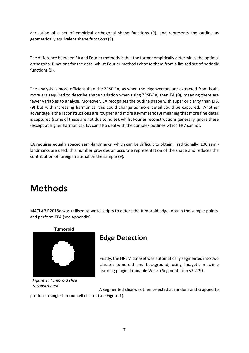derivation of a set of empirical orthogonal shape functions (9), and represents the outline as geometrically equivalent shape functions (9).

The difference between EA and Fourier methods is that the former empirically determines the optimal orthogonal functions for the data, whilst Fourier methods choose them from a limited set of periodic functions (9).

The analysis is more efficient than the ZRSF-FA, as when the eigenvectors are extracted from both, more are required to describe shape variation when using ZRSF-FA, than EA (9), meaning there are fewer variables to analyse. Moreover, EA recognises the outline shape with superior clarity than EFA (9) but with increasing harmonics, this could change as more detail could be captured. Another advantage is the reconstructions are rougher and more asymmetric (9) meaning that more fine detail is captured (some of these are not due to noise), whilst Fourier reconstructions generally ignore these (except at higher harmonics). EA can also deal with the complex outlines which FRV cannot.

EA requires equally spaced semi-landmarks, which can be difficult to obtain. Traditionally, 100 semilandmarks are used; this number provides an accurate representation of the shape and reduces the contribution of foreign material on the sample (9).

## **Methods**

MATLAB R2018a was utilised to write scripts to detect the tumoroid edge, obtain the sample points, and perform EFA (see Appendix).



*Figure 1: Tumoroid slice reconstructed.*

### **Edge Detection**

Firstly, the HREM dataset was automatically segmented into two classes: tumoroid and background, using ImageJ's machine learning plugin: Trainable Wecka Segmentation v3.2.20.

A segmented slice was then selected at random and cropped to produce a single tumour cell cluster (see Figure 1).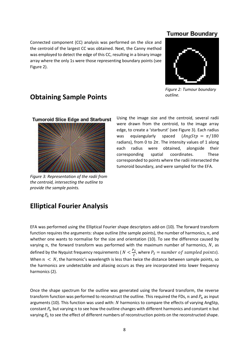Connected component (CC) analysis was performed on the slice and the centroid of the largest CC was obtained. Next, the Canny method was employed to detect the edge of this CC, resulting in a binary image array where the only 1s were those representing boundary points (see Figure 2).

#### **Tumour Boundary**



*Figure 2: Tumour boundary outline.*

#### **Obtaining Sample Points**

**Tumoroid Slice Edge and Starburst** 



*Figure 3: Representation of the radii from the centroid, intersecting the outline to provide the sample points.*

Using the image size and the centroid, several radii were drawn from the centroid, to the image array edge, to create a 'starburst' (see Figure 3). Each radius was equiangularly spaced  $(AngStp = \pi/180)$ radians), from 0 to  $2\pi$ . The intensity values of 1 along each radius were obtained, alongside their corresponding spatial coordinates. These corresponded to points where the radii intersected the tumoroid boundary, and were sampled for the EFA.

#### **Elliptical Fourier Analysis**

EFA was performed using the Elliptical Fourier shape descriptors add-on (10). The forward transform function requires the arguments: shape outline (the sample points), the number of harmonics,  $n$ , and whether one wants to normalise for the size and orientation (10). To see the difference caused by varying  $n$ , the forward transform was performed with the maximum number of harmonics,  $N$ , as defined by the Nyquist frequency requirements ( $N < \frac{P_S}{2}$  $\frac{S}{2}$ , where  $P_S =$  number of sampled points). When  $n < N$ , the harmonic's wavelength is less than twice the distance between sample points, so the harmonics are undetectable and aliasing occurs as they are incorporated into lower frequency harmonics (2).

Once the shape spectrum for the outline was generated using the forward transform, the reverse transform function was performed to reconstruct the outline. This required the FDs,  $n$  and  $P_n$  as input arguments (10). This function was used with: N harmonics to compare the effects of varying AngStp, constant  $P_n$  but varying n to see how the outline changes with different harmonics and constant n but varying  $P_n$  to see the effect of different numbers of reconstruction points on the reconstructed shape.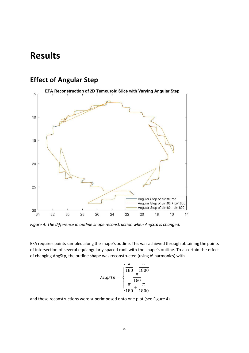## **Results**

## **Effect of Angular Step**



*Figure 4: The difference in outline shape reconstruction when AngStp is changed.*

EFA requires points sampled along the shape's outline. This was achieved through obtaining the points of intersection of several equiangularly spaced radii with the shape's outline. To ascertain the effect of changing AngStp, the outline shape was reconstructed (using  $N$  harmonics) with

$$
AngStp = \begin{cases} \frac{\pi}{180} - \frac{\pi}{1800} \\ \frac{\pi}{180} \\ \frac{\pi}{180} + \frac{\pi}{1800} \end{cases}
$$

and these reconstructions were superimposed onto one plot (see Figure 4).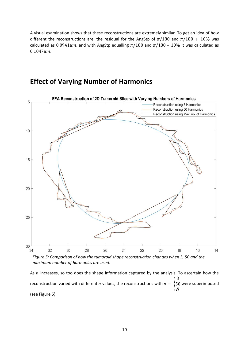A visual examination shows that these reconstructions are extremely similar. To get an idea of how different the reconstructions are, the residual for the AngStp of  $\pi/180$  and  $\pi/180 + 10\%$  was calculated as  $0.0941 \mu m$ , and with AngStp equalling  $\pi/180$  and  $\pi/180$  –  $10\%$  it was calculated as  $0.1047 \mu m$ .

## **Effect of Varying Number of Harmonics**



*Figure 5: Comparison of how the tumoroid shape reconstruction changes when 3, 50 and the maximum number of harmonics are used.*

As  $n$  increases, so too does the shape information captured by the analysis. To ascertain how the reconstruction varied with different  $n$  values, the reconstructions with  $n = \{$ 3 50 were superimposed  $\boldsymbol{N}$ (see Figure 5).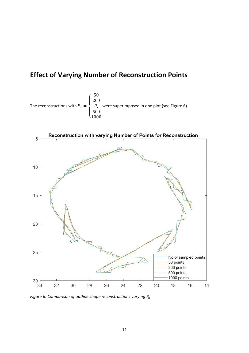## **Effect of Varying Number of Reconstruction Points**





*Figure 6: Comparison of outline shape reconstructions varying*  $P_n$ .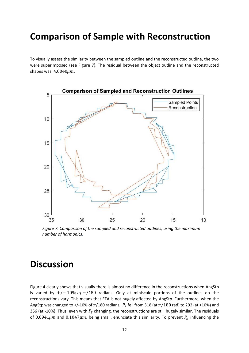## **Comparison of Sample with Reconstruction**

To visually assess the similarity between the sampled outline and the reconstructed outline, the two were superimposed (see Figure 7). The residual between the object outline and the reconstructed shapes was:  $4.0040 \mu m$ .



*Figure 7: Comparison of the sampled and reconstructed outlines, using the maximum number of harmonics.*

## **Discussion**

Figure 4 clearly shows that visually there is almost no difference in the reconstructions when AngStp is varied by  $+/- 10\%$  of  $\pi/180$  radians. Only at miniscule portions of the outlines do the reconstructions vary. This means that EFA is not hugely affected by AngStp. Furthermore, when the AngStp was changed to +/-10% of  $\pi/180$  radians,  $\,P_S$  fell from 318 (at  $\pi/180$  rad) to 292 (at +10%) and 356 (at -10%). Thus, even with  $P_S$  changing, the reconstructions are still hugely similar. The residuals of 0.0941 $\mu$ m and 0.1047 $\mu$ m, being small, enunciate this similarity. To prevent  $P_n$  influencing the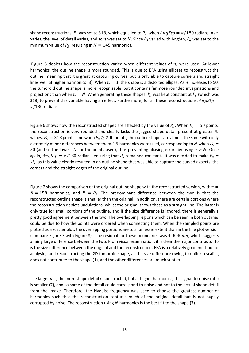shape reconstructions,  $P_n$  was set to 318, which equalled to  $P_S$ , when  $AngStp = \pi/180$  radians. As  $n$ varies, the level of detail varies, and so *n* was set to N. Since  $P_S$  varied with AngStp,  $P_n$  was set to the minimum value of  $P_S$ , resulting in  $N = 145$  harmonics.

Figure 5 depicts how the reconstruction varied when different values of  $n$ , were used. At lower harmonics, the outline shape is more rounded. This is due to EFA using ellipses to reconstruct the outline, meaning that it is great at capturing curves, but is only able to capture corners and straight lines well at higher harmonics (3). When  $n = 3$ , the shape is a distorted ellipse. As n increases to 50, the tumoroid outline shape is more recognisable, but it contains far more rounded invaginations and projections than when  $n = N$ . When generating these shapes,  $P_n$  was kept constant at  $P_S$  (which was 318) to prevent this variable having an effect. Furthermore, for all these reconstructions,  $AngStp =$  $\pi/180$  radians.

Figure 6 shows how the reconstructed shapes are affected by the value of  $P_n$ . When  $P_n = 50$  points, the reconstruction is very rounded and clearly lacks the jagged shape detail present at greater  $P_n$ values.  $P_S = 318$  points, and when  $P_n \ge 200$  points, the outline shapes are almost the same with only extremely minor differences between them. 25 harmonics were used, corresponding to N when  $P_S =$ 50 (and so the lowest N for the points used), thus preventing aliasing errors by using  $n > N$ . Once again,  $AngStp = \pi/180$  radians, ensuring that  $P_S$  remained constant. It was decided to make  $P_n =$  $P_S$ , as this value clearly resulted in an outline shape that was able to capture the curved aspects, the corners and the straight edges of the original outline.

Figure 7 shows the comparison of the original outline shape with the reconstructed version, with  $n =$  $N = 158$  harmonics, and  $P_n = P_S$ . The predominant difference between the two is that the reconstructed outline shape is smaller than the original. In addition, there are certain portions where the reconstruction depicts undulations, whilst the original shows these as a straight line. The latter is only true for small portions of the outline, and if the size difference is ignored, there is generally a pretty good agreement between the two. The overlapping regions which can be seen in both outlines could be due to how the points were ordered when connecting them. When the sampled points are plotted as a scatter plot, the overlapping portions are to a far lesser extent than in the line plot version (compare Figure 7 with Figure 8). The residual for these boundaries was  $4.0040 \mu m$ , which suggests a fairly large difference between the two. From visual examination, it is clear the major contributor to is the size difference between the original and the reconstruction. EFA is a relatively good method for analysing and reconstructing the 2D tumoroid shape, as the size difference owing to uniform scaling does not contribute to the shape (1), and the other differences are much subtler.

The larger  $n$  is, the more shape detail reconstructed, but at higher harmonics, the signal-to-noise ratio is smaller (7), and so some of the detail could correspond to noise and not to the actual shape detail from the image. Therefore, the Nyquist frequency was used to choose the greatest number of harmonics such that the reconstruction captures much of the original detail but is not hugely corrupted by noise. The reconstruction using  $N$  harmonics is the best fit to the shape (7).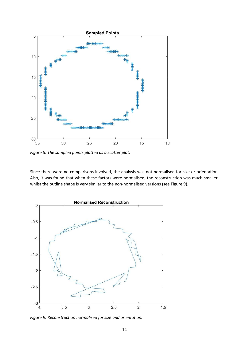

*Figure 8: The sampled points plotted as a scatter plot.* 

Since there were no comparisons involved, the analysis was not normalised for size or orientation. Also, it was found that when these factors were normalised, the reconstruction was much smaller, whilst the outline shape is very similar to the non-normalised versions (see Figure 9).



*Figure 9: Reconstruction normalised for size and orientation.*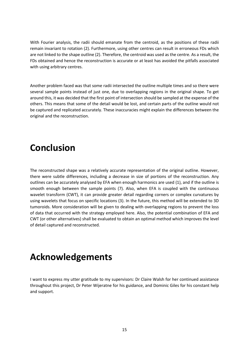With Fourier analysis, the radii should emanate from the centroid, as the positions of these radii remain invariant to rotation (2). Furthermore, using other centres can result in erroneous FDs which are not linked to the shape outline (2). Therefore, the centroid was used as the centre. As a result, the FDs obtained and hence the reconstruction is accurate or at least has avoided the pitfalls associated with using arbitrary centres.

Another problem faced was that some radii intersected the outline multiple times and so there were several sample points instead of just one, due to overlapping regions in the original shape. To get around this, it was decided that the first point of intersection should be sampled at the expense of the others. This means that some of the detail would be lost, and certain parts of the outline would not be captured and replicated accurately. These inaccuracies might explain the differences between the original and the reconstruction.

## **Conclusion**

The reconstructed shape was a relatively accurate representation of the original outline. However, there were subtle differences, including a decrease in size of portions of the reconstruction. Any outlines can be accurately analysed by EFA when enough harmonics are used (1), and if the outline is smooth enough between the sample points (7). Also, when EFA is coupled with the continuous wavelet transform (CWT), it can provide greater detail regarding corners or complex curvatures by using wavelets that focus on specific locations (3). In the future, this method will be extended to 3D tumoroids. More consideration will be given to dealing with overlapping regions to prevent the loss of data that occurred with the strategy employed here. Also, the potential combination of EFA and CWT (or other alternatives) shall be evaluated to obtain an optimal method which improves the level of detail captured and reconstructed.

## **Acknowledgements**

I want to express my utter gratitude to my supervisors: Dr Claire Walsh for her continued assistance throughout this project, Dr Peter Wijeratne for his guidance, and Dominic Giles for his constant help and support.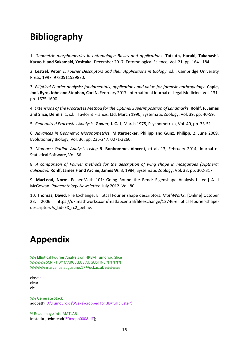## **Bibliography**

1. *Geometric morphometrics in entomology: Basics and applications.* **Tatsuta, Haruki, Takahashi, Kazuo H and Sakamaki, Yositaka.** December 2017, Entomological Science, Vol. 21, pp. 164 - 184.

2. **Lestrel, Peter E.** *Fourier Descriptors and their Applications in Biology.* s.l. : Cambridge University Press, 1997. 9780511529870.

3. *Elliptical Fourier analysis: fundamentals, applications and value for forensic anthropology.* **Caple, Jodi, Byrd, John and Stephan, Carl N.** Fedruary 2017, International Journal of Legal Medicine, Vol. 131, pp. 1675-1690.

4. *Extensions of the Procrustes Method for the Optimal Superimposition of Landmarks.* **Rohlf, F. James and Slice, Dennis.** 1, s.l. : Taylor & Francis, Ltd, March 1990, Systematic Zoology, Vol. 39, pp. 40-59.

5. *Generalized Procrustes Analysis.* **Gower, J. C.** 1, March 1975, Psychometrika, Vol. 40, pp. 33-51.

6. *Advances in Geometric Morphometrics.* **Mitteroecker, Philipp and Gunz, Philipp.** 2, June 2009, Evolutionary Biology, Vol. 36, pp. 235-247. 0071-3260.

7. *Momocs: Outline Analysis Using R.* **Bonhomme, Vincent, et al.** 13, February 2014, Journal of Statistical Software, Vol. 56.

8. *A comparison of Fourier methods for the description of wing shape in mosquitoes (Dipthera: Culicidae).* **Rohlf, James F and Archie, James W.** 3, 1984, Systematic Zoology, Vol. 33, pp. 302-317.

9. **MacLeod, Norm.** PalaeoMath 101: Going Round the Bend: Eigenshape Analysis I. [ed.] A. J McGowan. *Palaeontology Newsletter.* July 2012. Vol. 80.

10. **Thomas, David.** File Exchange: Elliptcal Fourier shape descriptors. *MathWorks.* [Online] October 23, 2006. https://uk.mathworks.com/matlabcentral/fileexchange/12746-elliptical-fourier-shapedescriptors?s\_tid=FX\_rc2\_behav.

## **Appendix**

%% Elliptical Fourier Analysis on HREM Tumoroid Slice %%%%% SCRIPT BY MARCELLUS AUGUSTINE %%%%% %%%%% marcellus.augustine.17@ucl.ac.uk %%%%%

close all clear clc

%% Generate Stack addpath('D:\Tumouroids\Weka\cropped for 3D\full cluster')

% Read image into MATLAB Imstack(:,:)=imread('3Dcropp0008.tif');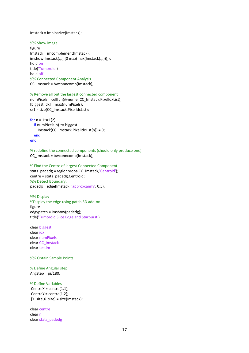#### Imstack = imbinarize(Imstack);

#### %% Show image

figure Imstack = imcomplement(Imstack); imshow(Imstack(:,:),[0 max(max(Imstack(:,:)))]); hold on title('Tumoroid') hold off %% Connected Component Analysis CC\_Imstack = bwconncomp(Imstack);

#### % Remove all but the largest connected component

numPixels = cellfun(@numel,CC\_Imstack.PixelIdxList);  $[b{\text{liggest}}.{\text{idx}} = \text{max}(\text{numpixels});$ sz1 = size(CC\_Imstack.PixelIdxList);

```
for n = 1:sz1(2)if numPixels(n) \approx biggest
     Imstack(CC_Imstack.PixelIdxList{n}) = 0;
   end
end
```
% redefine the connected components (should only produce one): CC\_Imstack = bwconncomp(Imstack);

```
% Find the Centre of largest Connected Component
stats_padedg = regionprops(CC_Imstack,'Centroid');
centre = stats_padedg.Centroid;
%% Detect Boundary:
padedg = edge(Imstack, 'approxcanny', 0.5);
```
%% Display %Display the edge using patch 3D add-on figure edgypatch = imshow(padedg); title('Tumoroid Slice Edge and Starburst')

clear biggest clear idx clear numPixels clear CC\_Imstack clear testim

#### %% Obtain Sample Points

#### % Define Angular step Angstep = pi/180;

#### % Define Variables

 $CentreX = centre(1,1);$  $CentreY = centre(1,2);$ [Y\_size,X\_size] = size(Imstack);

clear centre clear n clear stats\_padedg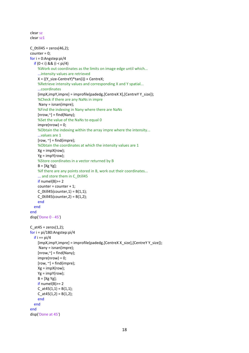```
clear sz
clear sz1
C_0till45 = zeros(46,2);
counter = 0;
for i = 0:Angstep:pi/4 
  if (0 < i) && (i < pi/4) %Work out coordinates as the limits on image edge until which...
     ...intensity values are retrieved
    X = ((Y size-CentreY)*tan(i)) + CentreX; %Retrieve intensity values and corresponding X and Y spatial...
     ...coordinates
    [impX,impY,impre] = improfile(padedg, [CentreX X], [CentreY Y_size]);
     %Check if there are any NaNs in impre
      Nany = isnan(impre);
     %Find the indexing in Nany where there are NaNs
    [nrow, \sim] = find(Nany);
     %Set the value of the NaNs to equal 0
    impre(nrow) = 0; %Obtain the indexing within the array impre where the intensity...
     ...values are 1
    [row, \sim] = find(impre); %Obtain the coordinates at which the intensity values are 1
     Xg = impX(row);
     Yg = impY(row);
     %Store coordinates in a vector returned by B
    B = [Xg Yg]:
     %If there are any points stored in B, work out their coordinates...
    ... and store them in C_0till45
    if <math>numel(B) = 2</math> counter = counter + 1;
    C 0till45(counter, 1) = B(1,1);
    C 0till45(counter, 2) = B(1,2);
     end
   end
end
disp('Done 0 - 45')
C at45 = zeros(1,2);for i = pi/180:Angstep:pi/4
  if i == pi/4[impX,impY,impre] = improfile(padedg, [CentreX X_size], [CentreY Y_size]);
      Nany = isnan(impre);
    [nrow, \sim] = find(Nanv);impre(nrow) = 0;[row, \sim] = find(impre);
     Xg = impX(row);
     Yg = impY(row);
    B = [Xg Yg];
    if numel(B)> = 2C at45(1,1) = B(1,1);C at45(1,2) = B(1,2); end
   end
end
disp('Done at 45')
```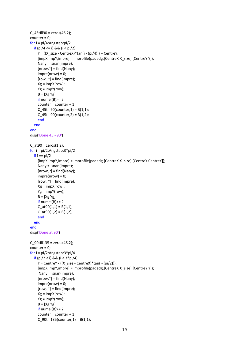```
C 45till90 = zeros(46,2);counter = 0;
for i = pi/4:Angstep:pi/2
   if (pi/4 <= i) && (i < pi/2)
    Y = ((X size - CentreX)*tan(i - (pi/4))) + CentreY;[impX,impY,impre] = improfile(padedg,[CentreX X_size],[CentreY Y]);
     Nany = isnan(impre);
    [nrow, \tilde{} ] = find(Nany);impre(nrow) = 0;[row, \sim] = find(impre); Xg = impX(row);
     Yg = impY(row);
    B = [Xg Yg];if <math>numel(B)>= 2</math> counter = counter + 1;
    C 45till90(counter, 1) = B(1,1);
    C_45till90(counter,2) = B(1,2);
     end 
   end
end
disp('Done 45 - 90')
C_at90 = zeros(1,2);
for i = pi/2:Angstep:3*pi/2
  if i == pi/2 [impX,impY,impre] = improfile(padedg,[CentreX X_size],[CentreY CentreY]);
     Nany = isnan(impre);
    [nrow, \sim] = find(Nany);
    impre(nrow) = 0;[row, \sim] = find(impre);
     Xg = impX(row);
    Yg = impY(row);B = [Xg Yg];if numel(B) = 2
    C at 90(1,1) = B(1,1);C_<sub>2</sub>t90(1,2) = B(1,2);
     end
   end
end
disp('Done at 90')
C 90till135 = zeros(46,2);
counter = 0;
for i = pi/2:Angstep:3*pi/4 
   if (pi/2 < i) && (i < 3*pi/4)
    Y = CentreY - ((X_size - CentreX)*tan(i-(pi/2)));
     [impX,impY,impre] = improfile(padedg,[CentreX X_size],[CentreY Y]);
      Nany = isnan(impre);
    [nrow, \sim] = find(Nany);
    impre(nrow) = 0;[row, \sim] = find(impre);Xg = impX(row); Yg = impY(row);
    B = [Xg Yg];if numel(B)> = 2 counter = counter + 1;
    C_90till135(counter,1) = B(1,1);
```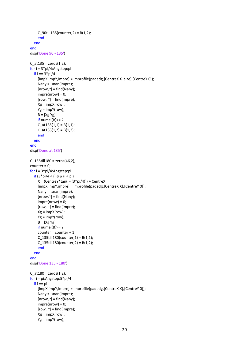```
C 90till135(counter, 2) = B(1,2);
     end
   end
end
disp('Done 90 - 135')
C_at135 = zeros(1,2);
for i = 3*pi/4:Angstep:pi 
  if i = 3*pi/4
    [impX,impY,impre] = improfile(padedg, [CentreX X_size], [CentreY 0]);
     Nany = isnan(impre);
    [nrow, \tilde{}] = find(Nany);
    impre(nrow) = 0;[row, \sim] = find(impre);
    Xg = impX(row); Yg = impY(row);
    B = [Xg Yg];if numel(B)> = 2C_{at}135(1,1) = B(1,1);C_{at}135(1,2) = B(1,2); end
   end
end
disp('Done at 135')
C_135till180 = zeros(46,2);
counter = 0;
for i = 3*pi/4:Angstep:pi
   if (3*pi/4 < i) && (i < pi)
    X = (CentreY*tan(i - (3*pi/4))) + CentreX; [impX,impY,impre] = improfile(padedg,[CentreX X],[CentreY 0]);
     Nany = isnan(impre);
    [nrow, \sim] = find(Nany);
    impre(nrow) = 0;[row, \sim] = find(impre);Xg = impX(row); Yg = impY(row);
    B = [Xg Yg];if numel(B) = 2
     counter = counter + 1;
    C 135till180(counter,1) = B(1,1);
    C 135till180(counter, 2) = B(1,2);
     end
   end
end
disp('Done 135 - 180')
C_at180 = zeros(1,2);
for i = pi:Angstep:5*pi/4
  if i == pi [impX,impY,impre] = improfile(padedg,[CentreX X],[CentreY 0]);
     Nany = isnan(impre);
    [nrow, \sim] = find(Nany);
    impre(nrow) = 0;[row, \sim] = find(impre); Xg = impX(row);
     Yg = impY(row);
```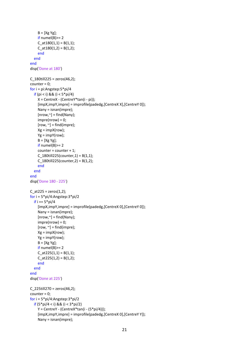```
B = [Xg Yg];if numel(B)=2C_{at}180(1,1) = B(1,1);C_{at}180(1,2) = B(1,2); end
   end
end
disp('Done at 180')
C_180till225 = zeros(46,2);
counter = 0;
for i = pi:Angstep:5*pi/4
  if (pi < i) && (i < 5*pi/4)
     X = CentreX - (CentreY*tan(i - pi));
     [impX,impY,impre] = improfile(padedg,[CentreX X],[CentreY 0]);
     Nany = isnan(impre);
    [nrow, \sim] = find(Nany);
    impre(nrow) = 0;[row, \sim] = find(impre);
     Xg = impX(row);
     Yg = impY(row);
    B = [Xg Yg];if numel(B)=2 counter = counter + 1;
    C_180till225(counter,1) = B(1,1);
    C_180till225(counter,2) = B(1,2);
     end
   end
end
disp('Done 180 - 225')
C_ at 225 = zeros(1,2);
for i = 5*pi/4:Angstep:3*pi/2
  if i = 5*pi/4
     [impX,impY,impre] = improfile(padedg,[CentreX 0],[CentreY 0]);
     Nany = isnan(impre);
    [nrow, \sim] = find(Nany);
    impre(nrow) = 0;[row, \sim] = find(impre);Xg = impX(row); Yg = impY(row);
    B = [Xg Yg];
    if numel(B) = 2
    C_{at}225(1,1) = B(1,1);
    C_{at}225(1,2) = B(1,2);
     end
   end
end
disp('Done at 225')
C_225till270 = zeros(46,2);
counter = 0;
for i = 5*pi/4:Angstep:3*pi/2
   if (5*pi/4 < i) && (i < 3*pi/2)
     Y = CentreY - (CentreX*tan(i - (5*pi/4)));
     [impX,impY,impre] = improfile(padedg,[CentreX 0],[CentreY Y]);
     Nany = isnan(impre);
```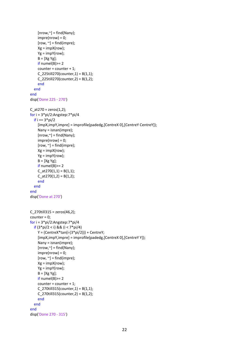```
[nrow, \sim] = find(Nany);
    impre(nrow) = 0;[row, \sim] = find(impre); Xg = impX(row);
     Yg = impY(row);
    B = [Xg Yg];if numel(B)=2 counter = counter + 1;
    C 225till270(counter, 1) = B(1,1);
    C_225till270(counter, 2) = B(1,2);
     end
   end
end
disp('Done 225 - 270')
C at 270 = 2 \text{eros}(1,2);for i = 3*pi/2:Angstep:7*pi/4
  if i == 3 * pi/2 [impX,impY,impre] = improfile(padedg,[CentreX 0],[CentreY CentreY]);
     Nany = isnan(impre);
    [nrow, \sim] = find(Nany);
    impre(nrow) = 0;[row, \sim] = find(impre);
    Xg = impX(row); Yg = impY(row);
    B = [Xg Yg];if numel(B)=2C_{at}270(1,1) = B(1,1);
    C_{at}270(1,2) = B(1,2);
     end
   end
end
disp('Done at 270')
C_270till315 = zeros(46,2);
counter = 0;
for i = 3*pi/2:Angstep:7*pi/4
   if (3*pi/2 < i) && (i < 7*pi/4)
    Y = (CentreX*tan(i-(3*pi/2))) + CentreY; [impX,impY,impre] = improfile(padedg,[CentreX 0],[CentreY Y]);
     Nany = isnan(impre);
    [nrow, \sim] = find(Nany);
    impre(nrow) = 0;[row, \sim] = find(impre);
     Xg = impX(row);
     Yg = impY(row);
    B = [Xg Yg];if numel(B) = 2
     counter = counter + 1;
    C 270till315(counter, 1) = B(1,1);
    C 270till315(counter, 2) = B(1,2);
     end
   end
end
disp('Done 270 - 315')
```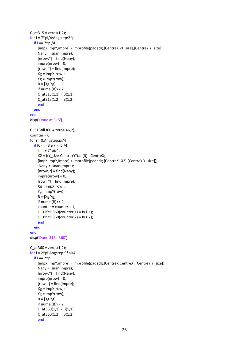```
C at315 = zeros(1,2);for i = 7*pi/4:Angstep:2*pi
  if i = 7*pi/4
     [impX,impY,impre] = improfile(padedg,[CentreX -X_size],[CentreY Y_size]);
     Nany = isnan(impre);
    [nrow, \sim] = find(Nany);
    impre(nrow) = 0;[row, \sim] = find(impre);
    Xg = impX(row); Yg = impY(row);
    B = [Xg Yg];if numel(B) = 2
    C at315(1,1) = B(1,1);C at 315(1,2) = B(1,2); end
   end
end
disp('Done at 315')
C 315till360 = 2eros(46,2);
counter = 0;
for i = 0:Angstep:pi/4 
   if (0 < i) && (i < pi/4) 
    j = i + 7 * pi/4; X2 = ((Y_size-CentreY)*tan(i)) - CentreX;
     [impX,impY,impre] = improfile(padedg,[CentreX -X2],[CentreY Y_size]);
      Nany = isnan(impre);
    [nrow, \sim] = find(Nany);
    impre(nrow) = 0;[row, \sim] = find(impre);
    Xg = \text{impX}(\text{row});
    Yg = impY(row);B = [Xg Yg];if numel(B) = 2
     counter = counter + 1;
    C_315till360(counter,1) = B(1,1);
    C_315till360(counter,2) = B(1,2);
     end
   end
end
disp('Done 315 - 360')
C_at360 = zeros(1,2);
for i = 2*pi:Angstep:9*pi/4
  if i == 2 * pi [impX,impY,impre] = improfile(padedg,[CentreX CentreX],[CentreY Y_size]);
     Nany = isnan(impre);
    [nrow, \tilde{}] = find(Nany);
    impre(nrow) = 0;[row, \sim] = find(impre);
     Xg = impX(row);
     Yg = impY(row);
    B = [Xg Yg];if numel(B)> = 2C_{at}360(1,1) = B(1,1);C_{at}360(1,2) = B(1,2); end
```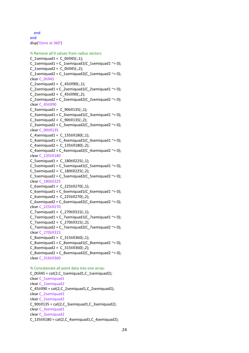end end disp('Done at 360') % Remove all 0 values from radius vectors C 1semiquad1 = C 0till45(:,1); C\_1semiquad1 =  $C$ \_1semiquad1( $C$ \_1semiquad1 ~= 0); C 1semiquad2 = C 0till45(:,2); C\_1semiquad2 = C\_1semiquad2(C\_1semiquad2 ~= 0); clear C\_0till45  $C_2$ semiquad1 =  $C_4$ 5till90(:,1); C\_2semiquad1 =  $C_2$ semiquad1( $C_2$ semiquad1 ~= 0); C 2semiquad2 = C 45till90(:,2); C 2semiguad2 = C 2semiguad2(C 2semiguad2  $\approx$  = 0); clear C\_45till90 C 3semiguad1 = C  $90$ till135(:,1); C\_3semiquad1 = C\_3semiquad1(C\_3semiquad1 ~= 0); C\_3semiquad2 = C\_90till135(:,2); C\_3semiquad2 =  $C_3$ semiquad2( $C_3$ semiquad2 ~= 0); clear C\_90till135 C 4semiquad1 = C  $135$ till $180(:,1);$ C\_4semiquad1 = C\_4semiquad1(C\_4semiquad1 ~= 0); C\_4semiguad2 = C\_135till180(:,2); C\_4semiquad2 = C\_4semiquad2(C\_4semiquad2  $\approx$  = 0); clear C\_135till180  $C_5$ semiquad1 =  $C_180$ till225(:,1); C\_5semiquad1 = C\_5semiquad1(C\_5semiquad1 ~= 0); C\_5semiquad2 = C\_180till225(:,2); C\_5semiquad2 = C\_5semiquad2(C\_5semiquad2 ~= 0); clear C\_180till225 C 6semiquad1 = C 225till270(:,1); C\_6semiquad1 = C\_6semiquad1(C\_6semiquad1 ~= 0); C 6semiguad2 = C 225till270(:,2); C\_6semiquad2 = C\_6semiquad2(C\_6semiquad2 ~= 0); clear C\_225till270 C\_7semiquad1 = C\_270till315(:,1); C\_7semiquad1 =  $C_7$ semiquad1( $C_7$ semiquad1 ~= 0); C 7semiquad2 = C 270till315(:,2); C\_7semiquad2 = C\_7semiquad2(C\_7semiquad2  $\approx$  = 0); clear C\_270till315 C 8semiquad1 = C 315till360(:,1);  $C_8$ semiquad1 =  $C_8$ semiquad1 $(C_8$ semiquad1 ~= 0); C\_8semiquad2 = C\_315till360(:,2); C\_8semiquad2 = C\_8semiquad2(C\_8semiquad2 ~= 0); clear C\_316till360 % Concatenate all point data into one array: C\_0till45 = cat(2,C\_1semiquad1,C\_1semiquad2); clear C\_1semiquad1 clear C\_1semiquad2

C\_45till90 =  $cat(2,C_2$ semiquad1,C\_2semiquad2); clear C\_2semiquad1

clear C\_2semiquad2

C\_90till135 = cat(2,C\_3semiquad1,C\_3semiquad2);

clear C\_3semiquad1 clear C\_3semiquad2

 $C_1$ 135till180 = cat(2, $C_4$ semiquad1, $C_4$ semiquad2);